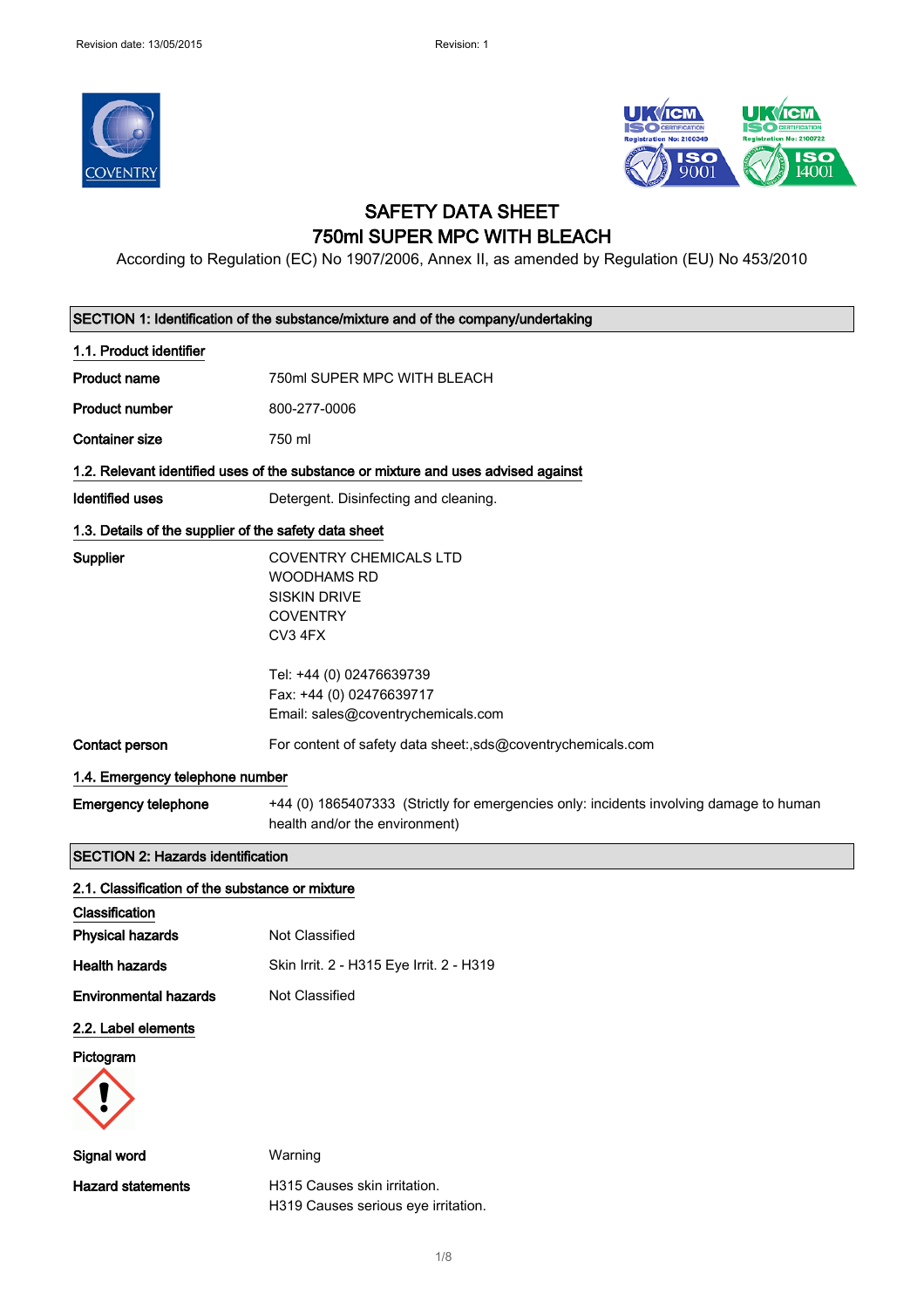



# SAFETY DATA SHEET 750ml SUPER MPC WITH BLEACH

According to Regulation (EC) No 1907/2006, Annex II, as amended by Regulation (EU) No 453/2010

|                                                       | SECTION 1: Identification of the substance/mixture and of the company/undertaking                                                    |  |  |
|-------------------------------------------------------|--------------------------------------------------------------------------------------------------------------------------------------|--|--|
| 1.1. Product identifier                               |                                                                                                                                      |  |  |
| <b>Product name</b>                                   | 750ml SUPER MPC WITH BLEACH                                                                                                          |  |  |
| <b>Product number</b>                                 | 800-277-0006                                                                                                                         |  |  |
| <b>Container size</b>                                 | 750 ml                                                                                                                               |  |  |
|                                                       | 1.2. Relevant identified uses of the substance or mixture and uses advised against                                                   |  |  |
| <b>Identified uses</b>                                | Detergent. Disinfecting and cleaning.                                                                                                |  |  |
| 1.3. Details of the supplier of the safety data sheet |                                                                                                                                      |  |  |
| Supplier                                              | <b>COVENTRY CHEMICALS LTD</b><br><b>WOODHAMS RD</b><br><b>SISKIN DRIVE</b><br><b>COVENTRY</b><br>CV3 4FX<br>Tel: +44 (0) 02476639739 |  |  |
|                                                       | Fax: +44 (0) 02476639717<br>Email: sales@coventrychemicals.com                                                                       |  |  |
| Contact person                                        | For content of safety data sheet:,sds@coventrychemicals.com                                                                          |  |  |
| 1.4. Emergency telephone number                       |                                                                                                                                      |  |  |
| <b>Emergency telephone</b>                            | +44 (0) 1865407333 (Strictly for emergencies only: incidents involving damage to human<br>health and/or the environment)             |  |  |
| <b>SECTION 2: Hazards identification</b>              |                                                                                                                                      |  |  |
| 2.1. Classification of the substance or mixture       |                                                                                                                                      |  |  |
| Classification                                        |                                                                                                                                      |  |  |
| <b>Physical hazards</b>                               | Not Classified                                                                                                                       |  |  |
| <b>Health hazards</b>                                 | Skin Irrit. 2 - H315 Eye Irrit. 2 - H319                                                                                             |  |  |
| Environmental hazards                                 | Not Classified                                                                                                                       |  |  |
| 2.2. Label elements                                   |                                                                                                                                      |  |  |
| Pictogram                                             |                                                                                                                                      |  |  |
|                                                       |                                                                                                                                      |  |  |
| Signal word                                           | Warning                                                                                                                              |  |  |
| <b>Hazard statements</b>                              | H315 Causes skin irritation.<br>H319 Causes serious eye irritation.                                                                  |  |  |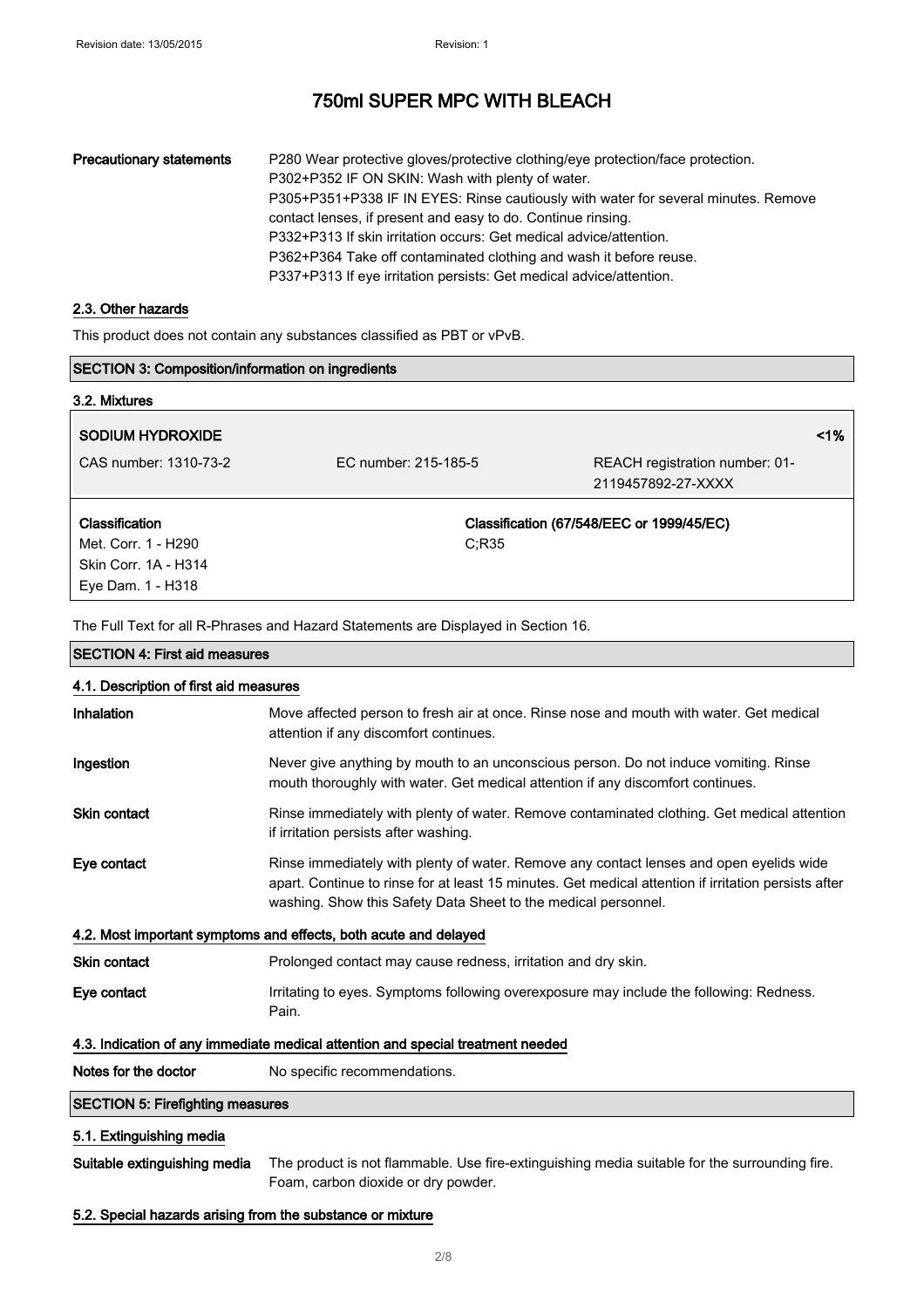## Precautionary statements P280 Wear protective gloves/protective clothing/eye protection/face protection. P302+P352 IF ON SKIN: Wash with plenty of water. P305+P351+P338 IF IN EYES: Rinse cautiously with water for several minutes. Remove contact lenses, if present and easy to do. Continue rinsing. P332+P313 If skin irritation occurs: Get medical advice/attention. P362+P364 Take off contaminated clothing and wash it before reuse. P337+P313 If eye irritation persists: Get medical advice/attention.

#### 2.3. Other hazards

This product does not contain any substances classified as PBT or vPvB.

| <b>SECTION 3: Composition/information on ingredients</b> |                      |                                           |       |
|----------------------------------------------------------|----------------------|-------------------------------------------|-------|
| 3.2. Mixtures                                            |                      |                                           |       |
| <b>SODIUM HYDROXIDE</b>                                  |                      |                                           | $1\%$ |
| CAS number: 1310-73-2                                    | EC number: 215-185-5 | REACH registration number: 01-            |       |
|                                                          |                      | 2119457892-27-XXXX                        |       |
| Classification                                           |                      | Classification (67/548/EEC or 1999/45/EC) |       |
| Met. Corr. 1 - H290                                      | C:R35                |                                           |       |
| Skin Corr. 1A - H314                                     |                      |                                           |       |
| Eye Dam. 1 - H318                                        |                      |                                           |       |

The Full Text for all R-Phrases and Hazard Statements are Displayed in Section 16.

| <b>SECTION 4: First aid measures</b>                                            |                                                                                                                                                                                                                                                                   |  |
|---------------------------------------------------------------------------------|-------------------------------------------------------------------------------------------------------------------------------------------------------------------------------------------------------------------------------------------------------------------|--|
| 4.1. Description of first aid measures                                          |                                                                                                                                                                                                                                                                   |  |
| Inhalation                                                                      | Move affected person to fresh air at once. Rinse nose and mouth with water. Get medical<br>attention if any discomfort continues.                                                                                                                                 |  |
| Ingestion                                                                       | Never give anything by mouth to an unconscious person. Do not induce vomiting. Rinse<br>mouth thoroughly with water. Get medical attention if any discomfort continues.                                                                                           |  |
| Skin contact                                                                    | Rinse immediately with plenty of water. Remove contaminated clothing. Get medical attention<br>if irritation persists after washing.                                                                                                                              |  |
| Eye contact                                                                     | Rinse immediately with plenty of water. Remove any contact lenses and open eyelids wide<br>apart. Continue to rinse for at least 15 minutes. Get medical attention if irritation persists after<br>washing. Show this Safety Data Sheet to the medical personnel. |  |
|                                                                                 | 4.2. Most important symptoms and effects, both acute and delayed                                                                                                                                                                                                  |  |
| <b>Skin contact</b>                                                             | Prolonged contact may cause redness, irritation and dry skin.                                                                                                                                                                                                     |  |
| Eye contact                                                                     | Irritating to eyes. Symptoms following overexposure may include the following: Redness.<br>Pain.                                                                                                                                                                  |  |
| 4.3. Indication of any immediate medical attention and special treatment needed |                                                                                                                                                                                                                                                                   |  |
| Notes for the doctor                                                            | No specific recommendations.                                                                                                                                                                                                                                      |  |
| <b>SECTION 5: Firefighting measures</b>                                         |                                                                                                                                                                                                                                                                   |  |
| 5.1. Extinguishing media                                                        |                                                                                                                                                                                                                                                                   |  |
| Suitable extinguishing media                                                    | The product is not flammable. Use fire-extinguishing media suitable for the surrounding fire.<br>Foam, carbon dioxide or dry powder.                                                                                                                              |  |

#### 5.2. Special hazards arising from the substance or mixture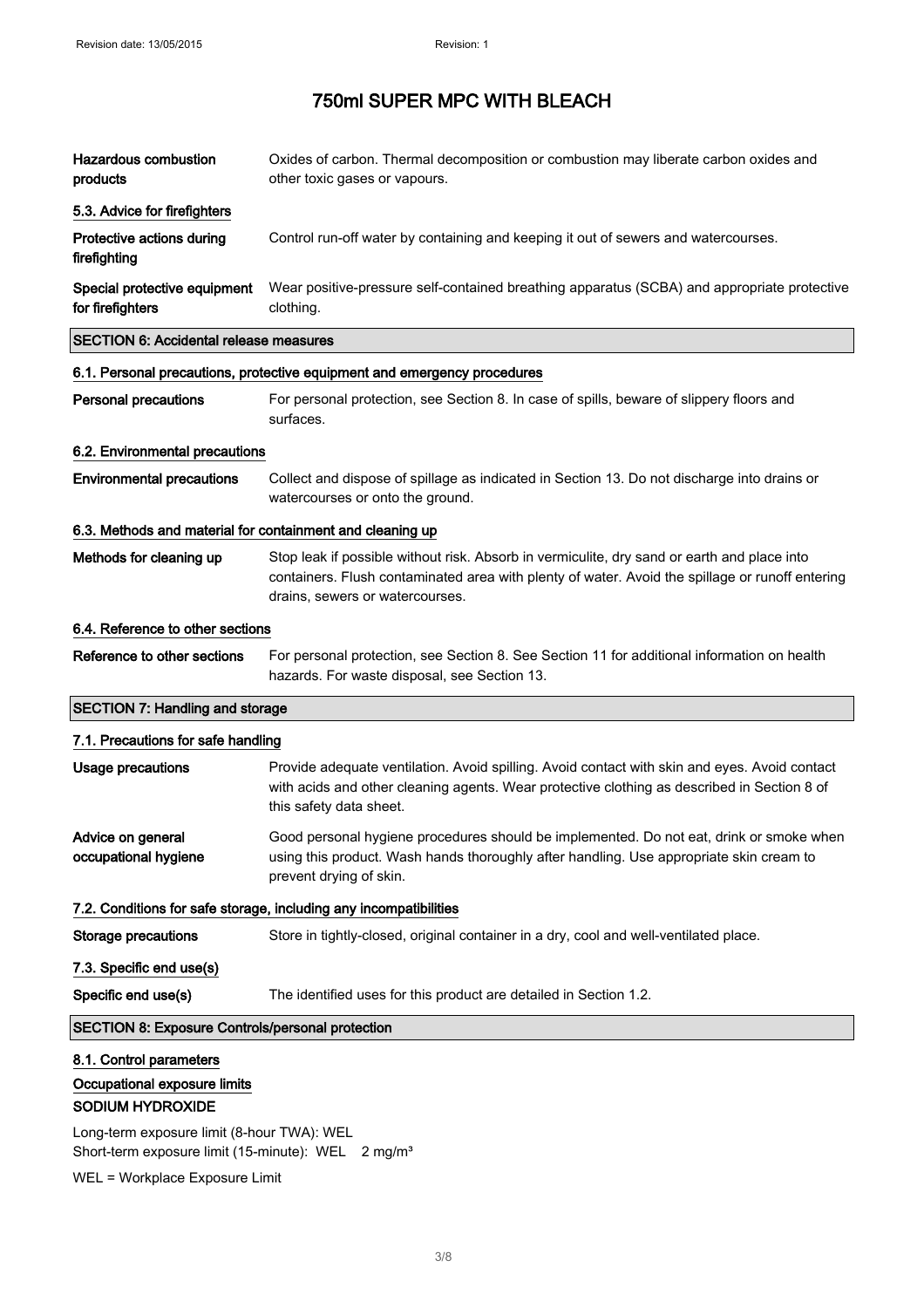| <b>Hazardous combustion</b><br>products                   | Oxides of carbon. Thermal decomposition or combustion may liberate carbon oxides and<br>other toxic gases or vapours.                                                                                                             |
|-----------------------------------------------------------|-----------------------------------------------------------------------------------------------------------------------------------------------------------------------------------------------------------------------------------|
| 5.3. Advice for firefighters                              |                                                                                                                                                                                                                                   |
| Protective actions during<br>firefighting                 | Control run-off water by containing and keeping it out of sewers and watercourses.                                                                                                                                                |
| Special protective equipment<br>for firefighters          | Wear positive-pressure self-contained breathing apparatus (SCBA) and appropriate protective<br>clothing.                                                                                                                          |
| <b>SECTION 6: Accidental release measures</b>             |                                                                                                                                                                                                                                   |
|                                                           | 6.1. Personal precautions, protective equipment and emergency procedures                                                                                                                                                          |
| <b>Personal precautions</b>                               | For personal protection, see Section 8. In case of spills, beware of slippery floors and<br>surfaces.                                                                                                                             |
| 6.2. Environmental precautions                            |                                                                                                                                                                                                                                   |
| <b>Environmental precautions</b>                          | Collect and dispose of spillage as indicated in Section 13. Do not discharge into drains or<br>watercourses or onto the ground.                                                                                                   |
| 6.3. Methods and material for containment and cleaning up |                                                                                                                                                                                                                                   |
| Methods for cleaning up                                   | Stop leak if possible without risk. Absorb in vermiculite, dry sand or earth and place into<br>containers. Flush contaminated area with plenty of water. Avoid the spillage or runoff entering<br>drains, sewers or watercourses. |
| 6.4. Reference to other sections                          |                                                                                                                                                                                                                                   |
| Reference to other sections                               | For personal protection, see Section 8. See Section 11 for additional information on health<br>hazards. For waste disposal, see Section 13.                                                                                       |
| <b>SECTION 7: Handling and storage</b>                    |                                                                                                                                                                                                                                   |
| 7.1. Precautions for safe handling                        |                                                                                                                                                                                                                                   |
| <b>Usage precautions</b>                                  | Provide adequate ventilation. Avoid spilling. Avoid contact with skin and eyes. Avoid contact<br>with acids and other cleaning agents. Wear protective clothing as described in Section 8 of<br>this safety data sheet.           |
| Advice on general<br>occupational hygiene                 | Good personal hygiene procedures should be implemented. Do not eat, drink or smoke when<br>using this product. Wash hands thoroughly after handling. Use appropriate skin cream to<br>prevent drying of skin.                     |
|                                                           | 7.2. Conditions for safe storage, including any incompatibilities                                                                                                                                                                 |
| Storage precautions                                       | Store in tightly-closed, original container in a dry, cool and well-ventilated place.                                                                                                                                             |
| 7.3. Specific end use(s)                                  |                                                                                                                                                                                                                                   |
| Specific end use(s)                                       | The identified uses for this product are detailed in Section 1.2.                                                                                                                                                                 |
| <b>SECTION 8: Exposure Controls/personal protection</b>   |                                                                                                                                                                                                                                   |
| 8.1. Control parameters                                   |                                                                                                                                                                                                                                   |
| Occupational exposure limits<br>SODIUM HYDROXIDE          |                                                                                                                                                                                                                                   |
| Long-term exposure limit (8-hour TWA): WEL                |                                                                                                                                                                                                                                   |

Short-term exposure limit (15-minute): WEL 2 mg/m<sup>3</sup>

WEL = Workplace Exposure Limit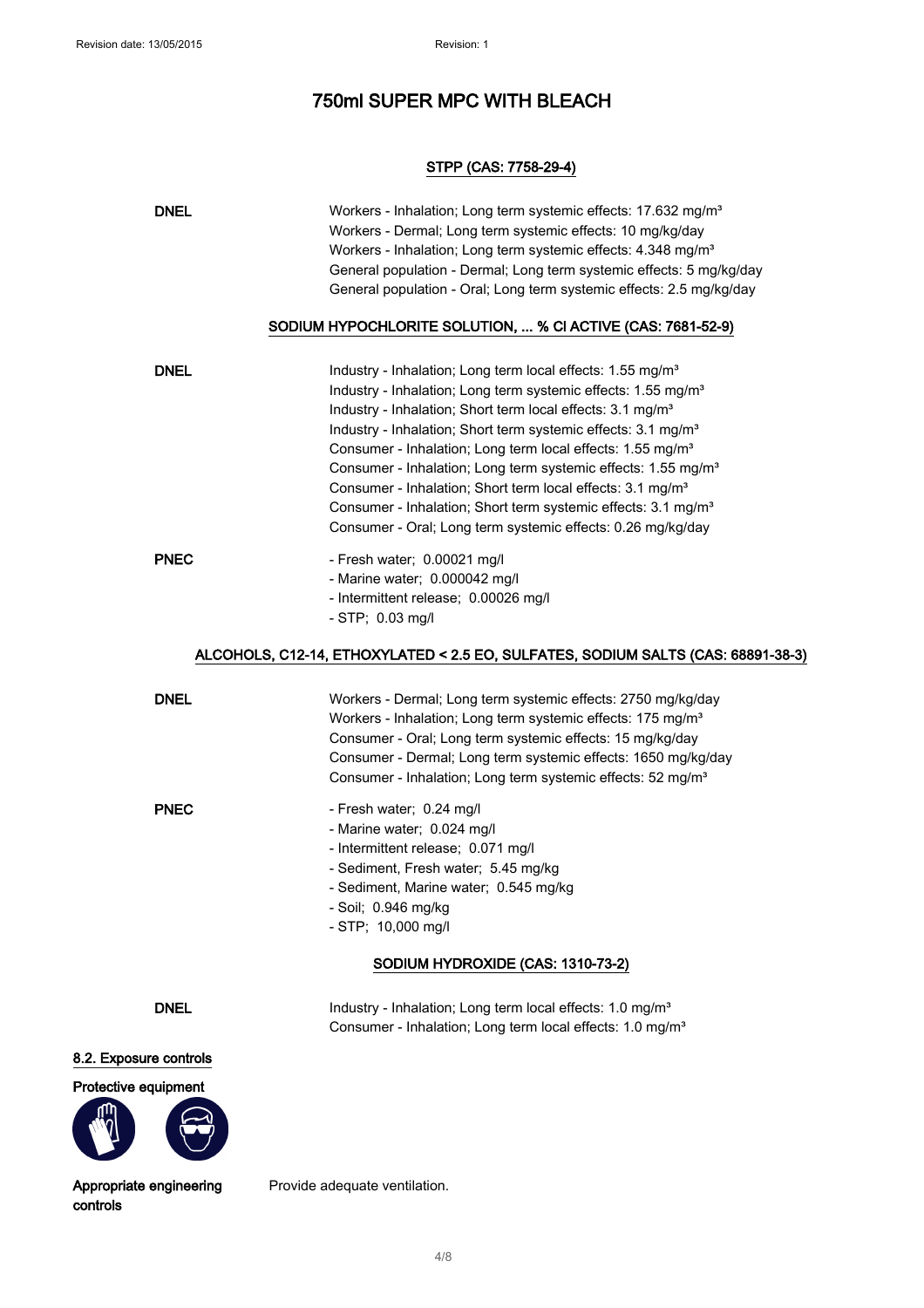## STPP (CAS: 7758-29-4)

| <b>DNEL</b>            | Workers - Inhalation; Long term systemic effects: 17.632 mg/m <sup>3</sup><br>Workers - Dermal; Long term systemic effects: 10 mg/kg/day<br>Workers - Inhalation; Long term systemic effects: 4.348 mg/m <sup>3</sup><br>General population - Dermal; Long term systemic effects: 5 mg/kg/day<br>General population - Oral; Long term systemic effects: 2.5 mg/kg/day<br>SODIUM HYPOCHLORITE SOLUTION,  % CI ACTIVE (CAS: 7681-52-9)                                                                                                                                                                                                                                                    |
|------------------------|-----------------------------------------------------------------------------------------------------------------------------------------------------------------------------------------------------------------------------------------------------------------------------------------------------------------------------------------------------------------------------------------------------------------------------------------------------------------------------------------------------------------------------------------------------------------------------------------------------------------------------------------------------------------------------------------|
| <b>DNEL</b>            | Industry - Inhalation; Long term local effects: 1.55 mg/m <sup>3</sup><br>Industry - Inhalation; Long term systemic effects: 1.55 mg/m <sup>3</sup><br>Industry - Inhalation; Short term local effects: 3.1 mg/m <sup>3</sup><br>Industry - Inhalation; Short term systemic effects: 3.1 mg/m <sup>3</sup><br>Consumer - Inhalation; Long term local effects: 1.55 mg/m <sup>3</sup><br>Consumer - Inhalation; Long term systemic effects: 1.55 mg/m <sup>3</sup><br>Consumer - Inhalation; Short term local effects: 3.1 mg/m <sup>3</sup><br>Consumer - Inhalation; Short term systemic effects: 3.1 mg/m <sup>3</sup><br>Consumer - Oral; Long term systemic effects: 0.26 mg/kg/day |
| <b>PNEC</b>            | - Fresh water; 0.00021 mg/l<br>- Marine water; 0.000042 mg/l<br>- Intermittent release; 0.00026 mg/l<br>$- STP$ ; 0.03 mg/l                                                                                                                                                                                                                                                                                                                                                                                                                                                                                                                                                             |
|                        | ALCOHOLS, C12-14, ETHOXYLATED < 2.5 EO, SULFATES, SODIUM SALTS (CAS: 68891-38-3)                                                                                                                                                                                                                                                                                                                                                                                                                                                                                                                                                                                                        |
| <b>DNEL</b>            | Workers - Dermal; Long term systemic effects: 2750 mg/kg/day<br>Workers - Inhalation; Long term systemic effects: 175 mg/m <sup>3</sup><br>Consumer - Oral; Long term systemic effects: 15 mg/kg/day<br>Consumer - Dermal; Long term systemic effects: 1650 mg/kg/day<br>Consumer - Inhalation; Long term systemic effects: 52 mg/m <sup>3</sup>                                                                                                                                                                                                                                                                                                                                        |
| <b>PNEC</b>            | - Fresh water; 0.24 mg/l<br>- Marine water; 0.024 mg/l<br>- Intermittent release; 0.071 mg/l<br>- Sediment, Fresh water; 5.45 mg/kg<br>- Sediment, Marine water; 0.545 mg/kg<br>- Soil; 0.946 mg/kg<br>- STP; 10,000 mg/l<br>SODIUM HYDROXIDE (CAS: 1310-73-2)                                                                                                                                                                                                                                                                                                                                                                                                                          |
| <b>DNEL</b>            | Industry - Inhalation; Long term local effects: 1.0 mg/m <sup>3</sup><br>Consumer - Inhalation; Long term local effects: 1.0 mg/m <sup>3</sup>                                                                                                                                                                                                                                                                                                                                                                                                                                                                                                                                          |
| 8.2. Exposure controls |                                                                                                                                                                                                                                                                                                                                                                                                                                                                                                                                                                                                                                                                                         |
| Protective equipment   |                                                                                                                                                                                                                                                                                                                                                                                                                                                                                                                                                                                                                                                                                         |

Appropriate engineering controls

Provide adequate ventilation.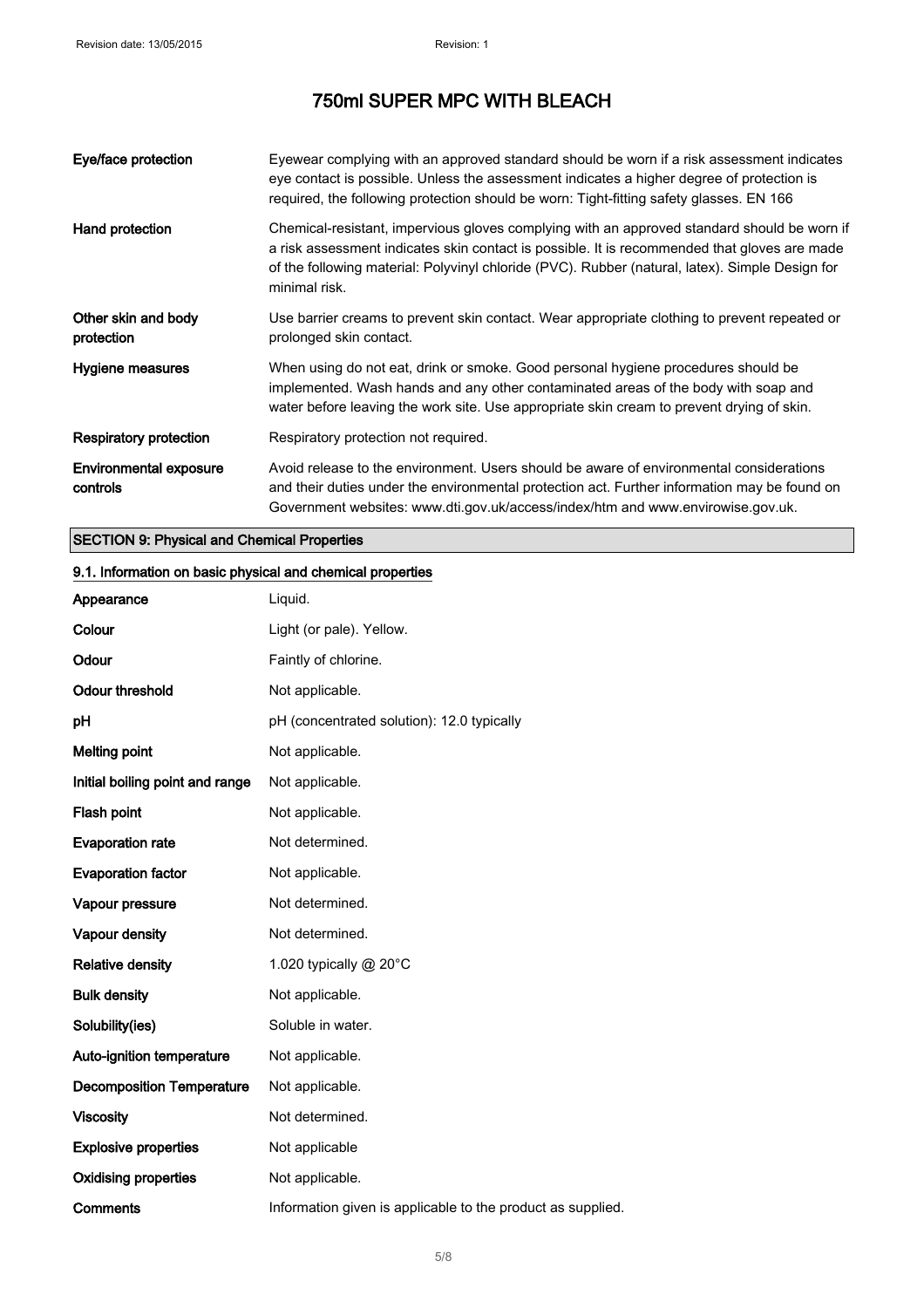| Eye/face protection                       | Eyewear complying with an approved standard should be worn if a risk assessment indicates<br>eye contact is possible. Unless the assessment indicates a higher degree of protection is<br>required, the following protection should be worn: Tight-fitting safety glasses. EN 166                               |
|-------------------------------------------|-----------------------------------------------------------------------------------------------------------------------------------------------------------------------------------------------------------------------------------------------------------------------------------------------------------------|
| Hand protection                           | Chemical-resistant, impervious gloves complying with an approved standard should be worn if<br>a risk assessment indicates skin contact is possible. It is recommended that gloves are made<br>of the following material: Polyvinyl chloride (PVC). Rubber (natural, latex). Simple Design for<br>minimal risk. |
| Other skin and body<br>protection         | Use barrier creams to prevent skin contact. Wear appropriate clothing to prevent repeated or<br>prolonged skin contact.                                                                                                                                                                                         |
| Hygiene measures                          | When using do not eat, drink or smoke. Good personal hygiene procedures should be<br>implemented. Wash hands and any other contaminated areas of the body with soap and<br>water before leaving the work site. Use appropriate skin cream to prevent drying of skin.                                            |
| Respiratory protection                    | Respiratory protection not required.                                                                                                                                                                                                                                                                            |
| <b>Environmental exposure</b><br>controls | Avoid release to the environment. Users should be aware of environmental considerations<br>and their duties under the environmental protection act. Further information may be found on<br>Government websites: www.dti.gov.uk/access/index/htm and www.envirowise.gov.uk.                                      |

## SECTION 9: Physical and Chemical Properties

## 9.1. Information on basic physical and chemical properties

| Appearance                       | Liquid.                                                     |
|----------------------------------|-------------------------------------------------------------|
| Colour                           | Light (or pale). Yellow.                                    |
| Odour                            | Faintly of chlorine.                                        |
| <b>Odour threshold</b>           | Not applicable.                                             |
| pH                               | pH (concentrated solution): 12.0 typically                  |
| <b>Melting point</b>             | Not applicable.                                             |
| Initial boiling point and range  | Not applicable.                                             |
| Flash point                      | Not applicable.                                             |
| <b>Evaporation rate</b>          | Not determined.                                             |
| <b>Evaporation factor</b>        | Not applicable.                                             |
| Vapour pressure                  | Not determined.                                             |
| Vapour density                   | Not determined.                                             |
| <b>Relative density</b>          | 1.020 typically @ 20°C                                      |
| <b>Bulk density</b>              | Not applicable.                                             |
| Solubility(ies)                  | Soluble in water.                                           |
| Auto-ignition temperature        | Not applicable.                                             |
| <b>Decomposition Temperature</b> | Not applicable.                                             |
| <b>Viscosity</b>                 | Not determined.                                             |
| <b>Explosive properties</b>      | Not applicable                                              |
| <b>Oxidising properties</b>      | Not applicable.                                             |
| Comments                         | Information given is applicable to the product as supplied. |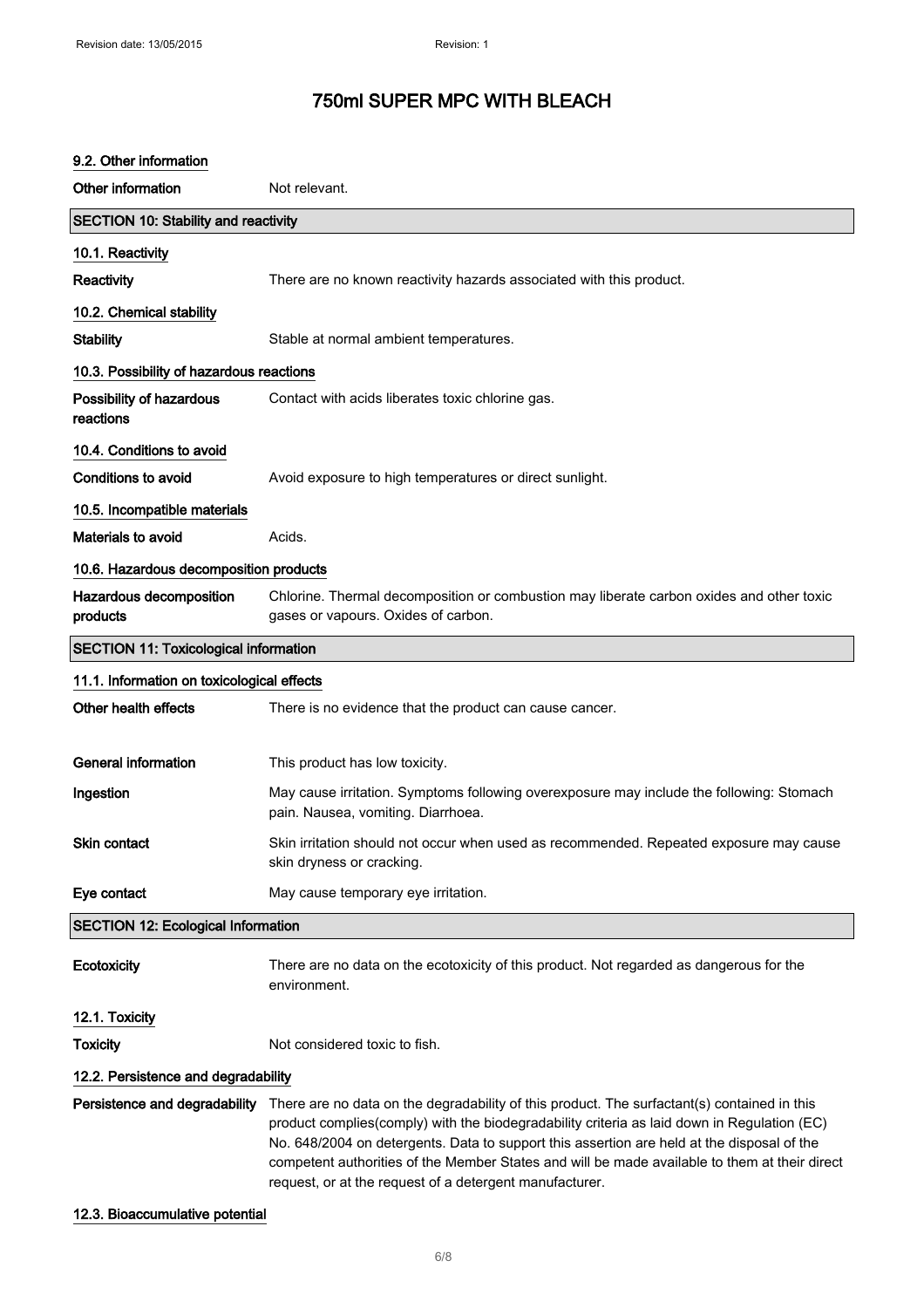| 9.2. Other information                       |                                                                                                                                                                                                                                                                                                                                                                                                                                                      |
|----------------------------------------------|------------------------------------------------------------------------------------------------------------------------------------------------------------------------------------------------------------------------------------------------------------------------------------------------------------------------------------------------------------------------------------------------------------------------------------------------------|
| Other information                            | Not relevant.                                                                                                                                                                                                                                                                                                                                                                                                                                        |
| <b>SECTION 10: Stability and reactivity</b>  |                                                                                                                                                                                                                                                                                                                                                                                                                                                      |
| 10.1. Reactivity                             |                                                                                                                                                                                                                                                                                                                                                                                                                                                      |
| Reactivity                                   | There are no known reactivity hazards associated with this product.                                                                                                                                                                                                                                                                                                                                                                                  |
| 10.2. Chemical stability                     |                                                                                                                                                                                                                                                                                                                                                                                                                                                      |
| <b>Stability</b>                             | Stable at normal ambient temperatures.                                                                                                                                                                                                                                                                                                                                                                                                               |
| 10.3. Possibility of hazardous reactions     |                                                                                                                                                                                                                                                                                                                                                                                                                                                      |
| Possibility of hazardous<br>reactions        | Contact with acids liberates toxic chlorine gas.                                                                                                                                                                                                                                                                                                                                                                                                     |
| 10.4. Conditions to avoid                    |                                                                                                                                                                                                                                                                                                                                                                                                                                                      |
| Conditions to avoid                          | Avoid exposure to high temperatures or direct sunlight.                                                                                                                                                                                                                                                                                                                                                                                              |
| 10.5. Incompatible materials                 |                                                                                                                                                                                                                                                                                                                                                                                                                                                      |
| <b>Materials to avoid</b>                    | Acids.                                                                                                                                                                                                                                                                                                                                                                                                                                               |
| 10.6. Hazardous decomposition products       |                                                                                                                                                                                                                                                                                                                                                                                                                                                      |
| Hazardous decomposition<br>products          | Chlorine. Thermal decomposition or combustion may liberate carbon oxides and other toxic<br>gases or vapours. Oxides of carbon.                                                                                                                                                                                                                                                                                                                      |
| <b>SECTION 11: Toxicological information</b> |                                                                                                                                                                                                                                                                                                                                                                                                                                                      |
| 11.1. Information on toxicological effects   |                                                                                                                                                                                                                                                                                                                                                                                                                                                      |
| Other health effects                         | There is no evidence that the product can cause cancer.                                                                                                                                                                                                                                                                                                                                                                                              |
|                                              |                                                                                                                                                                                                                                                                                                                                                                                                                                                      |
| <b>General information</b>                   | This product has low toxicity.                                                                                                                                                                                                                                                                                                                                                                                                                       |
| Ingestion                                    | May cause irritation. Symptoms following overexposure may include the following: Stomach<br>pain. Nausea, vomiting. Diarrhoea.                                                                                                                                                                                                                                                                                                                       |
| Skin contact                                 | Skin irritation should not occur when used as recommended. Repeated exposure may cause<br>skin dryness or cracking.                                                                                                                                                                                                                                                                                                                                  |
| Eye contact                                  | May cause temporary eye irritation.                                                                                                                                                                                                                                                                                                                                                                                                                  |
| <b>SECTION 12: Ecological Information</b>    |                                                                                                                                                                                                                                                                                                                                                                                                                                                      |
| Ecotoxicity                                  | There are no data on the ecotoxicity of this product. Not regarded as dangerous for the<br>environment.                                                                                                                                                                                                                                                                                                                                              |
| 12.1. Toxicity                               |                                                                                                                                                                                                                                                                                                                                                                                                                                                      |
| <b>Toxicity</b>                              | Not considered toxic to fish.                                                                                                                                                                                                                                                                                                                                                                                                                        |
| 12.2. Persistence and degradability          |                                                                                                                                                                                                                                                                                                                                                                                                                                                      |
| Persistence and degradability                | There are no data on the degradability of this product. The surfactant(s) contained in this<br>product complies(comply) with the biodegradability criteria as laid down in Regulation (EC)<br>No. 648/2004 on detergents. Data to support this assertion are held at the disposal of the<br>competent authorities of the Member States and will be made available to them at their direct<br>request, or at the request of a detergent manufacturer. |

## 12.3. Bioaccumulative potential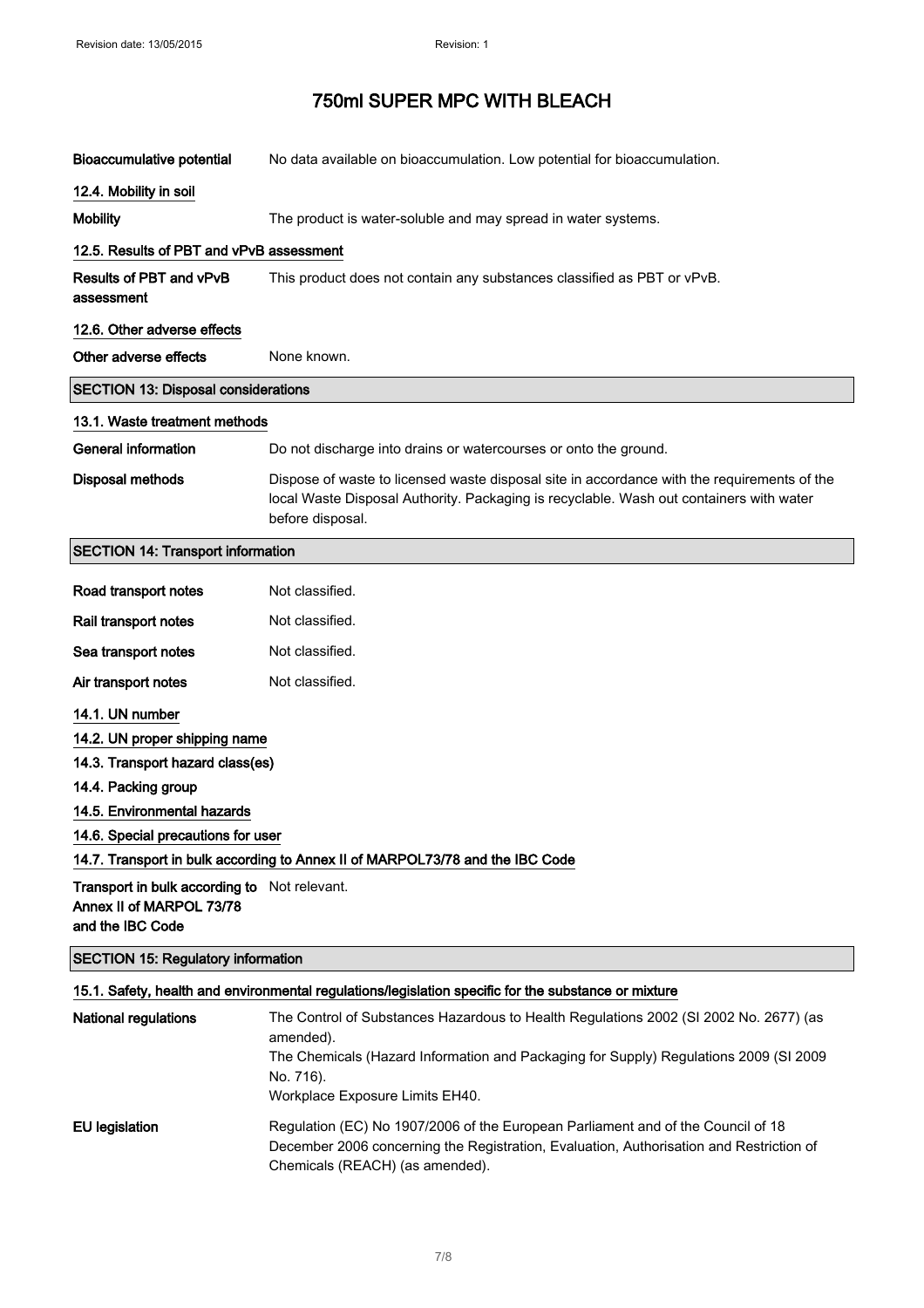| Bioaccumulative potential                  | No data available on bioaccumulation. Low potential for bioaccumulation.                                                                                                                                   |  |
|--------------------------------------------|------------------------------------------------------------------------------------------------------------------------------------------------------------------------------------------------------------|--|
| 12.4. Mobility in soil                     |                                                                                                                                                                                                            |  |
| <b>Mobility</b>                            | The product is water-soluble and may spread in water systems.                                                                                                                                              |  |
| 12.5. Results of PBT and vPvB assessment   |                                                                                                                                                                                                            |  |
| Results of PBT and vPvB<br>assessment      | This product does not contain any substances classified as PBT or vPvB.                                                                                                                                    |  |
| 12.6. Other adverse effects                |                                                                                                                                                                                                            |  |
| Other adverse effects                      | None known.                                                                                                                                                                                                |  |
| <b>SECTION 13: Disposal considerations</b> |                                                                                                                                                                                                            |  |
| 13.1. Waste treatment methods              |                                                                                                                                                                                                            |  |
| General information                        | Do not discharge into drains or watercourses or onto the ground.                                                                                                                                           |  |
| <b>Disposal methods</b>                    | Dispose of waste to licensed waste disposal site in accordance with the requirements of the<br>local Waste Disposal Authority. Packaging is recyclable. Wash out containers with water<br>before disposal. |  |
| <b>SECTION 14: Transport information</b>   |                                                                                                                                                                                                            |  |
| Road transport notes                       | Not classified.                                                                                                                                                                                            |  |
| Rail transport notes                       | Not classified.                                                                                                                                                                                            |  |
| Sea transport notes                        | Not classified.                                                                                                                                                                                            |  |
| Air transport notes                        | Not classified.                                                                                                                                                                                            |  |

14.1. UN number

14.2. UN proper shipping name

14.3. Transport hazard class(es)

14.4. Packing group

14.5. Environmental hazards

14.6. Special precautions for user

## 14.7. Transport in bulk according to Annex II of MARPOL73/78 and the IBC Code

**Transport in bulk according to** Not relevant. Annex II of MARPOL 73/78 and the IBC Code

#### SECTION 15: Regulatory information

#### 15.1. Safety, health and environmental regulations/legislation specific for the substance or mixture

| <b>National regulations</b> | The Control of Substances Hazardous to Health Regulations 2002 (SI 2002 No. 2677) (as<br>amended).<br>The Chemicals (Hazard Information and Packaging for Supply) Regulations 2009 (SI 2009<br>No. 716).<br>Workplace Exposure Limits EH40. |
|-----------------------------|---------------------------------------------------------------------------------------------------------------------------------------------------------------------------------------------------------------------------------------------|
| <b>EU</b> legislation       | Regulation (EC) No 1907/2006 of the European Parliament and of the Council of 18<br>December 2006 concerning the Registration, Evaluation, Authorisation and Restriction of<br>Chemicals (REACH) (as amended).                              |